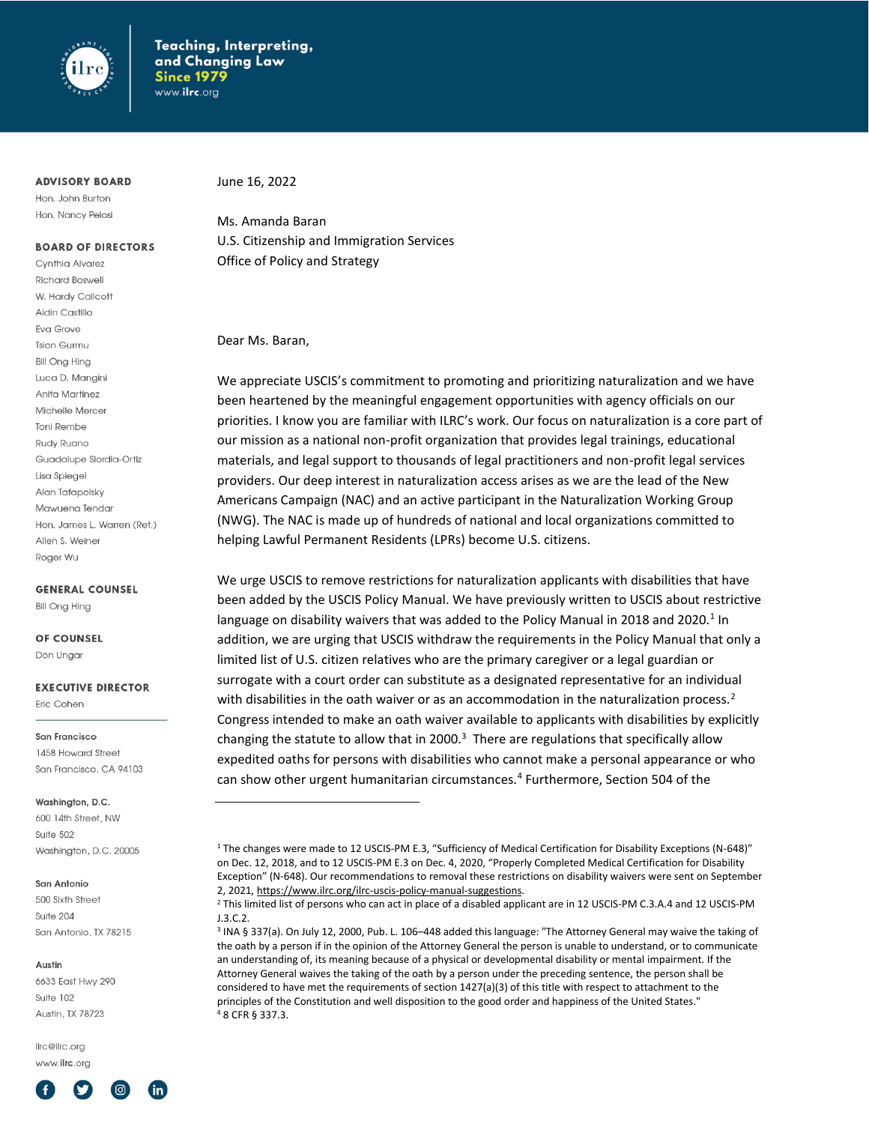

## **ADVISORY BOARD**

Hon. John Burton Hon. Nancy Pelosi

# **BOARD OF DIRECTORS**

Cynthia Alvarez **Richard Boswell** W. Hardy Callcott Aidin Castillo Eva Grove **Tsion Gurmu Bill Ong Hing** Luca D. Mangini Anita Martinez Michelle Mercer Toni Rembe Rudy Ruano Guadalupe Siordia-Ortiz Lisa Spiegel Alan Tafapolsky Mawuena Tendar Hon, James L. Warren (Ret.) Allen S. Weiner Roger Wu

#### **GENERAL COUNSEL**

**Bill Ong Hing** 

# OF COUNSEL

Don Ungar

# **EXECUTIVE DIRECTOR**

Eric Cohen

#### San Francisco

1458 Howard Street San Francisco, CA 94103

#### Washinaton, D.C.

600 14th Street, NW Suite 502 Washington, D.C. 20005

#### San Antonio

500 Sixth Street Suite 204 San Antonio, TX 78215

#### Austin

6633 East Hwy 290 Suite 102 Austin TX 78723

ilrc@ilrc.org www.ilrc.org



June 16, 2022

Ms. Amanda Baran U.S. Citizenship and Immigration Services Office of Policy and Strategy

## Dear Ms. Baran,

We appreciate USCIS's commitment to promoting and prioritizing naturalization and we have been heartened by the meaningful engagement opportunities with agency officials on our priorities. I know you are familiar with ILRC's work. Our focus on naturalization is a core part of our mission as a national non-profit organization that provides legal trainings, educational materials, and legal support to thousands of legal practitioners and non-profit legal services providers. Our deep interest in naturalization access arises as we are the lead of the New Americans Campaign (NAC) and an active participant in the Naturalization Working Group (NWG). The NAC is made up of hundreds of national and local organizations committed to helping Lawful Permanent Residents (LPRs) become U.S. citizens.

We urge USCIS to remove restrictions for naturalization applicants with disabilities that have been added by the USCIS Policy Manual. We have previously written to USCIS about restrictive language on disability waivers that was added to the Policy Manual in 2018 and 2020.<sup>1</sup> In addition, we are urging that USCIS withdraw the requirements in the Policy Manual that only a limited list of U.S. citizen relatives who are the primary caregiver or a legal guardian or surrogate with a court order can substitute as a designated representative for an individual with disabilities in the oath waiver or as an accommodation in the naturalization process.<sup>2</sup> Congress intended to make an oath waiver available to applicants with disabilities by explicitly changing the statute to allow that in 2000. $3$  There are regulations that specifically allow expedited oaths for persons with disabilities who cannot make a personal appearance or who can show other urgent humanitarian circumstances.<sup>4</sup> Furthermore, Section 504 of the

<sup>1</sup> The changes were made to 12 USCIS-PM E.3, "Sufficiency of Medical Certification for Disability Exceptions (N-648)" on Dec. 12, 2018, and to 12 USCIS-PM E.3 on Dec. 4, 2020, "Properly Completed Medical Certification for Disability Exception" (N-648). Our recommendations to removal these restrictions on disability waivers were sent on September 2, 2021[, https://www.ilrc.org/ilrc-uscis-policy-manual-suggestions.](https://www.ilrc.org/ilrc-uscis-policy-manual-suggestions)

<sup>&</sup>lt;sup>2</sup> This limited list of persons who can act in place of a disabled applicant are in 12 USCIS-PM C.3.A.4 and 12 USCIS-PM J.3.C.2.

<sup>3</sup> INA § 337(a). On July 12, 2000, Pub. L. 106–448 added this language: "The Attorney General may waive the taking of the oath by a person if in the opinion of the Attorney General the person is unable to understand, or to communicate an understanding of, its meaning because of a physical or developmental disability or mental impairment. If the Attorney General waives the taking of the oath by a person under the preceding sentence, the person shall be considered to have met the requirements of section 1427(a)(3) of this title with respect to attachment to the principles of the Constitution and well disposition to the good order and happiness of the United States." <sup>4</sup> 8 CFR § 337.3.